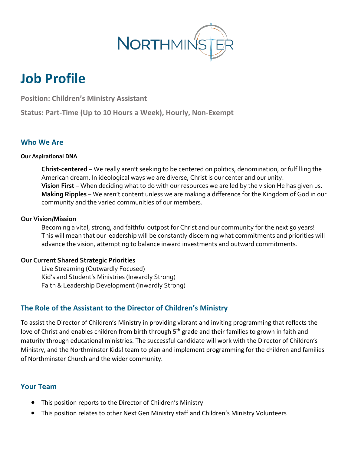

# **Job Profile**

**Position: Children's Ministry Assistant**

**Status: Part-Time (Up to 10 Hours a Week), Hourly, Non-Exempt**

## **Who We Are**

#### **Our Aspirational DNA**

**Christ-centered** – We really aren't seeking to be centered on politics, denomination, or fulfilling the American dream. In ideological ways we are diverse, Christ is our center and our unity. **Vision First** – When deciding what to do with our resources we are led by the vision He has given us. **Making Ripples** – We aren't content unless we are making a difference for the Kingdom of God in our community and the varied communities of our members.

#### **Our Vision/Mission**

Becoming a vital, strong, and faithful outpost for Christ and our community for the next 50 years! This will mean that our leadership will be constantly discerning what commitments and priorities will advance the vision, attempting to balance inward investments and outward commitments.

#### **Our Current Shared Strategic Priorities**

Live Streaming (Outwardly Focused) Kid's and Student's Ministries (Inwardly Strong) Faith & Leadership Development (Inwardly Strong)

## **The Role of the Assistant to the Director of Children's Ministry**

To assist the Director of Children's Ministry in providing vibrant and inviting programming that reflects the love of Christ and enables children from birth through 5<sup>th</sup> grade and their families to grown in faith and maturity through educational ministries. The successful candidate will work with the Director of Children's Ministry, and the Northminster Kids! team to plan and implement programming for the children and families of Northminster Church and the wider community.

## **Your Team**

- This position reports to the Director of Children's Ministry
- This position relates to other Next Gen Ministry staff and Children's Ministry Volunteers